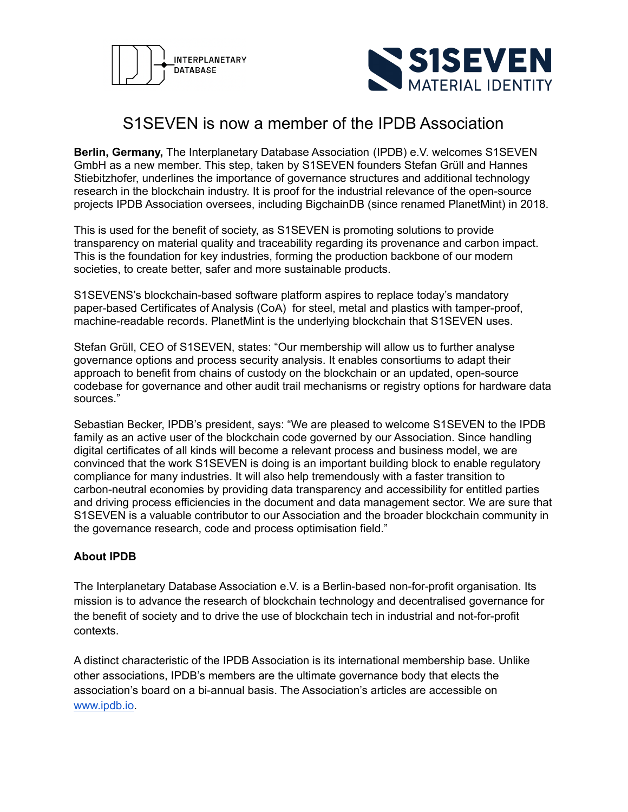



## S1SEVEN is now a member of the IPDB Association

**Berlin, Germany,** The Interplanetary Database Association (IPDB) e.V. welcomes S1SEVEN GmbH as a new member. This step, taken by S1SEVEN founders Stefan Grüll and Hannes Stiebitzhofer, underlines the importance of governance structures and additional technology research in the blockchain industry. It is proof for the industrial relevance of the open-source projects IPDB Association oversees, including BigchainDB (since renamed PlanetMint) in 2018.

This is used for the benefit of society, as S1SEVEN is promoting solutions to provide transparency on material quality and traceability regarding its provenance and carbon impact. This is the foundation for key industries, forming the production backbone of our modern societies, to create better, safer and more sustainable products.

S1SEVENS's blockchain-based software platform aspires to replace today's mandatory paper-based Certificates of Analysis (CoA) for steel, metal and plastics with tamper-proof, machine-readable records. PlanetMint is the underlying blockchain that S1SEVEN uses.

Stefan Grüll, CEO of S1SEVEN, states: "Our membership will allow us to further analyse governance options and process security analysis. It enables consortiums to adapt their approach to benefit from chains of custody on the blockchain or an updated, open-source codebase for governance and other audit trail mechanisms or registry options for hardware data sources."

Sebastian Becker, IPDB's president, says: "We are pleased to welcome S1SEVEN to the IPDB family as an active user of the blockchain code governed by our Association. Since handling digital certificates of all kinds will become a relevant process and business model, we are convinced that the work S1SEVEN is doing is an important building block to enable regulatory compliance for many industries. It will also help tremendously with a faster transition to carbon-neutral economies by providing data transparency and accessibility for entitled parties and driving process efficiencies in the document and data management sector. We are sure that S1SEVEN is a valuable contributor to our Association and the broader blockchain community in the governance research, code and process optimisation field."

## **About IPDB**

The Interplanetary Database Association e.V. is a Berlin-based non-for-profit organisation. Its mission is to advance the research of blockchain technology and decentralised governance for the benefit of society and to drive the use of blockchain tech in industrial and not-for-profit contexts.

A distinct characteristic of the IPDB Association is its international membership base. Unlike other associations, IPDB's members are the ultimate governance body that elects the association's board on a bi-annual basis. The Association's articles are accessible on [www.ipdb.io.](http://www.ipdb.io)